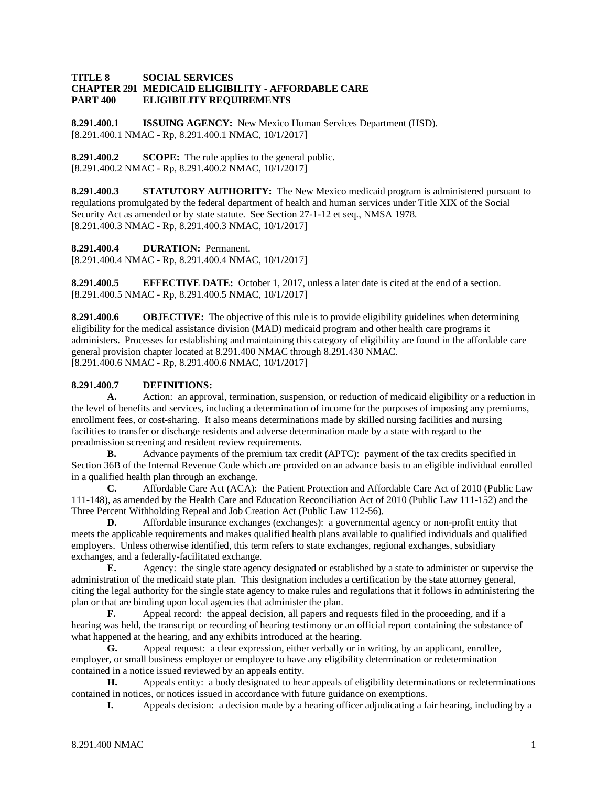## **TITLE 8 SOCIAL SERVICES CHAPTER 291 MEDICAID ELIGIBILITY - AFFORDABLE CARE ELIGIBILITY REQUIREMENTS**

**8.291.400.1 ISSUING AGENCY:** New Mexico Human Services Department (HSD). [8.291.400.1 NMAC - Rp, 8.291.400.1 NMAC, 10/1/2017]

**8.291.400.2 SCOPE:** The rule applies to the general public. [8.291.400.2 NMAC - Rp, 8.291.400.2 NMAC, 10/1/2017]

**8.291.400.3 STATUTORY AUTHORITY:** The New Mexico medicaid program is administered pursuant to regulations promulgated by the federal department of health and human services under Title XIX of the Social Security Act as amended or by state statute. See Section 27-1-12 et seq., NMSA 1978. [8.291.400.3 NMAC - Rp, 8.291.400.3 NMAC, 10/1/2017]

**8.291.400.4 DURATION:** Permanent.

[8.291.400.4 NMAC - Rp, 8.291.400.4 NMAC, 10/1/2017]

**8.291.400.5 EFFECTIVE DATE:** October 1, 2017, unless a later date is cited at the end of a section. [8.291.400.5 NMAC - Rp, 8.291.400.5 NMAC, 10/1/2017]

**8.291.400.6 OBJECTIVE:** The objective of this rule is to provide eligibility guidelines when determining eligibility for the medical assistance division (MAD) medicaid program and other health care programs it administers. Processes for establishing and maintaining this category of eligibility are found in the affordable care general provision chapter located at 8.291.400 NMAC through 8.291.430 NMAC. [8.291.400.6 NMAC - Rp, 8.291.400.6 NMAC, 10/1/2017]

## **8.291.400.7 DEFINITIONS:**

**A.** Action: an approval, termination, suspension, or reduction of medicaid eligibility or a reduction in the level of benefits and services, including a determination of income for the purposes of imposing any premiums, enrollment fees, or cost-sharing. It also means determinations made by skilled nursing facilities and nursing facilities to transfer or discharge residents and adverse determination made by a state with regard to the preadmission screening and resident review requirements.

**B.** Advance payments of the premium tax credit (APTC): payment of the tax credits specified in Section 36B of the Internal Revenue Code which are provided on an advance basis to an eligible individual enrolled in a qualified health plan through an exchange.

**C.** Affordable Care Act (ACA): the Patient Protection and Affordable Care Act of 2010 (Public Law 111-148), as amended by the Health Care and Education Reconciliation Act of 2010 (Public Law 111-152) and the Three Percent Withholding Repeal and Job Creation Act (Public Law 112-56).

**D.** Affordable insurance exchanges (exchanges): a governmental agency or non-profit entity that meets the applicable requirements and makes qualified health plans available to qualified individuals and qualified employers. Unless otherwise identified, this term refers to state exchanges, regional exchanges, subsidiary exchanges, and a federally-facilitated exchange.

**E.** Agency: the single state agency designated or established by a state to administer or supervise the administration of the medicaid state plan. This designation includes a certification by the state attorney general, citing the legal authority for the single state agency to make rules and regulations that it follows in administering the plan or that are binding upon local agencies that administer the plan.

**F.** Appeal record: the appeal decision, all papers and requests filed in the proceeding, and if a hearing was held, the transcript or recording of hearing testimony or an official report containing the substance of what happened at the hearing, and any exhibits introduced at the hearing.

**G.** Appeal request: a clear expression, either verbally or in writing, by an applicant, enrollee, employer, or small business employer or employee to have any eligibility determination or redetermination contained in a notice issued reviewed by an appeals entity.

**H.** Appeals entity: a body designated to hear appeals of eligibility determinations or redeterminations contained in notices, or notices issued in accordance with future guidance on exemptions.

**I.** Appeals decision: a decision made by a hearing officer adjudicating a fair hearing, including by a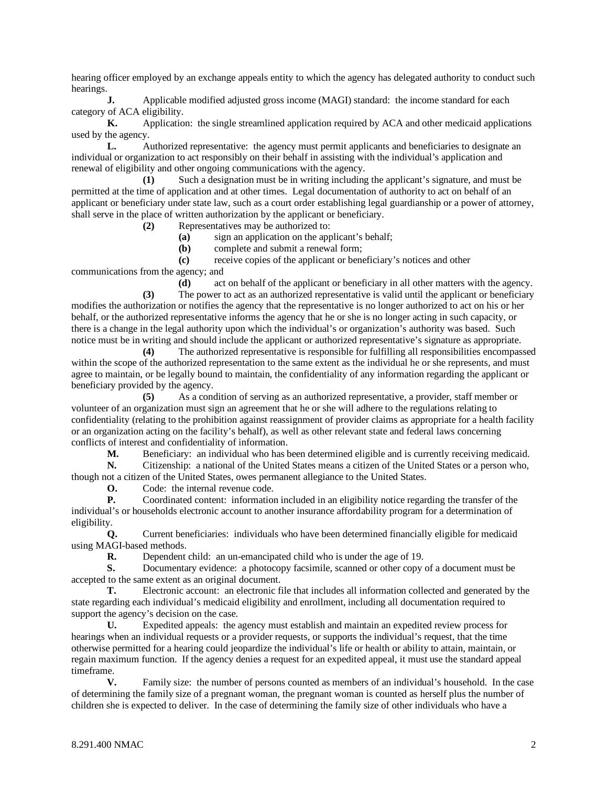hearing officer employed by an exchange appeals entity to which the agency has delegated authority to conduct such hearings.

**J.** Applicable modified adjusted gross income (MAGI) standard: the income standard for each category of ACA eligibility.

**K.** Application: the single streamlined application required by ACA and other medicaid applications used by the agency.

**L.** Authorized representative: the agency must permit applicants and beneficiaries to designate an individual or organization to act responsibly on their behalf in assisting with the individual's application and renewal of eligibility and other ongoing communications with the agency.

**(1)** Such a designation must be in writing including the applicant's signature, and must be permitted at the time of application and at other times. Legal documentation of authority to act on behalf of an applicant or beneficiary under state law, such as a court order establishing legal guardianship or a power of attorney, shall serve in the place of written authorization by the applicant or beneficiary.

**(2)** Representatives may be authorized to:

**(a)** sign an application on the applicant's behalf;

**(b)** complete and submit a renewal form;

**(c)** receive copies of the applicant or beneficiary's notices and other

communications from the agency; and

**(d)** act on behalf of the applicant or beneficiary in all other matters with the agency. **(3)** The power to act as an authorized representative is valid until the applicant or beneficiary modifies the authorization or notifies the agency that the representative is no longer authorized to act on his or her behalf, or the authorized representative informs the agency that he or she is no longer acting in such capacity, or there is a change in the legal authority upon which the individual's or organization's authority was based. Such notice must be in writing and should include the applicant or authorized representative's signature as appropriate.

**(4)** The authorized representative is responsible for fulfilling all responsibilities encompassed within the scope of the authorized representation to the same extent as the individual he or she represents, and must agree to maintain, or be legally bound to maintain, the confidentiality of any information regarding the applicant or beneficiary provided by the agency.

**(5)** As a condition of serving as an authorized representative, a provider, staff member or volunteer of an organization must sign an agreement that he or she will adhere to the regulations relating to confidentiality (relating to the prohibition against reassignment of provider claims as appropriate for a health facility or an organization acting on the facility's behalf), as well as other relevant state and federal laws concerning conflicts of interest and confidentiality of information.

**M.** Beneficiary: an individual who has been determined eligible and is currently receiving medicaid.

**N.** Citizenship: a national of the United States means a citizen of the United States or a person who, though not a citizen of the United States, owes permanent allegiance to the United States.

**O.** Code: the internal revenue code.

**P.** Coordinated content: information included in an eligibility notice regarding the transfer of the individual's or households electronic account to another insurance affordability program for a determination of eligibility.

**Q.** Current beneficiaries: individuals who have been determined financially eligible for medicaid using MAGI-based methods.<br>R. Dependent

**R.** Dependent child: an un-emancipated child who is under the age of 19.

**S.** Documentary evidence: a photocopy facsimile, scanned or other copy of a document must be accepted to the same extent as an original document.

**T.** Electronic account: an electronic file that includes all information collected and generated by the state regarding each individual's medicaid eligibility and enrollment, including all documentation required to support the agency's decision on the case.

**U.** Expedited appeals: the agency must establish and maintain an expedited review process for hearings when an individual requests or a provider requests, or supports the individual's request, that the time otherwise permitted for a hearing could jeopardize the individual's life or health or ability to attain, maintain, or regain maximum function. If the agency denies a request for an expedited appeal, it must use the standard appeal timeframe.

**V.** Family size: the number of persons counted as members of an individual's household. In the case of determining the family size of a pregnant woman, the pregnant woman is counted as herself plus the number of children she is expected to deliver. In the case of determining the family size of other individuals who have a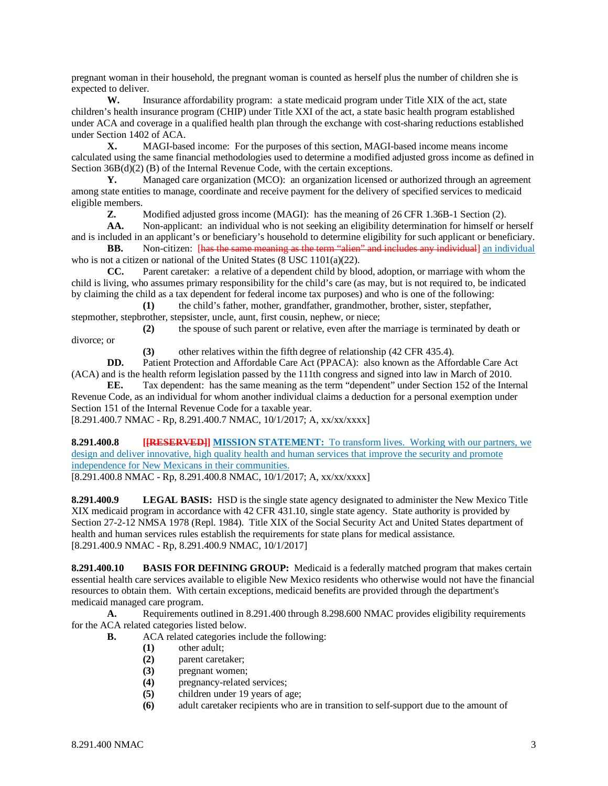pregnant woman in their household, the pregnant woman is counted as herself plus the number of children she is expected to deliver.

**W.** Insurance affordability program: a state medicaid program under Title XIX of the act, state children's health insurance program (CHIP) under Title XXI of the act, a state basic health program established under ACA and coverage in a qualified health plan through the exchange with cost-sharing reductions established under Section 1402 of ACA.

**X.** MAGI-based income: For the purposes of this section, MAGI-based income means income calculated using the same financial methodologies used to determine a modified adjusted gross income as defined in Section 36B(d)(2) (B) of the Internal Revenue Code, with the certain exceptions.

**Y.** Managed care organization (MCO): an organization licensed or authorized through an agreement among state entities to manage, coordinate and receive payment for the delivery of specified services to medicaid eligible members.<br> $Z_{n}$ 

**Z.** Modified adjusted gross income (MAGI): has the meaning of 26 CFR 1.36B-1 Section (2).

AA. Non-applicant: an individual who is not seeking an eligibility determination for himself or herself and is included in an applicant's or beneficiary's household to determine eligibility for such applicant or beneficiary.

**BB.** Non-citizen: Thas the same meaning as the term "alien" and includes any individual an individual who is not a citizen or national of the United States (8 USC 1101(a)(22).

**CC.** Parent caretaker: a relative of a dependent child by blood, adoption, or marriage with whom the child is living, who assumes primary responsibility for the child's care (as may, but is not required to, be indicated by claiming the child as a tax dependent for federal income tax purposes) and who is one of the following:

**(1)** the child's father, mother, grandfather, grandmother, brother, sister, stepfather, stepmother, stepbrother, stepsister, uncle, aunt, first cousin, nephew, or niece;

**(2)** the spouse of such parent or relative, even after the marriage is terminated by death or divorce; or

**(3)** other relatives within the fifth degree of relationship (42 CFR 435.4).

**DD.** Patient Protection and Affordable Care Act (PPACA): also known as the Affordable Care Act (ACA) and is the health reform legislation passed by the 111th congress and signed into law in March of 2010.

**EE.** Tax dependent: has the same meaning as the term "dependent" under Section 152 of the Internal Revenue Code, as an individual for whom another individual claims a deduction for a personal exemption under Section 151 of the Internal Revenue Code for a taxable year.

[8.291.400.7 NMAC - Rp, 8.291.400.7 NMAC, 10/1/2017; A, xx/xx/xxxx]

**8.291.400.8 [[RESERVED]] MISSION STATEMENT:** To transform lives. Working with our partners, we design and deliver innovative, high quality health and human services that improve the security and promote independence for New Mexicans in their communities. [8.291.400.8 NMAC - Rp, 8.291.400.8 NMAC, 10/1/2017; A, xx/xx/xxxx]

**8.291.400.9 LEGAL BASIS:** HSD is the single state agency designated to administer the New Mexico Title XIX medicaid program in accordance with 42 CFR 431.10, single state agency. State authority is provided by Section 27-2-12 NMSA 1978 (Repl. 1984). Title XIX of the Social Security Act and United States department of health and human services rules establish the requirements for state plans for medical assistance. [8.291.400.9 NMAC - Rp, 8.291.400.9 NMAC, 10/1/2017]

**8.291.400.10 BASIS FOR DEFINING GROUP:** Medicaid is a federally matched program that makes certain essential health care services available to eligible New Mexico residents who otherwise would not have the financial resources to obtain them. With certain exceptions, medicaid benefits are provided through the department's medicaid managed care program.

**A.** Requirements outlined in 8.291.400 through 8.298.600 NMAC provides eligibility requirements for the ACA related categories listed below.

- **B.** ACA related categories include the following:
	- **(1)** other adult;
	- **(2)** parent caretaker;
	- **(3)** pregnant women;
	- **(4)** pregnancy-related services;
	- **(5)** children under 19 years of age;
	- **(6)** adult caretaker recipients who are in transition to self-support due to the amount of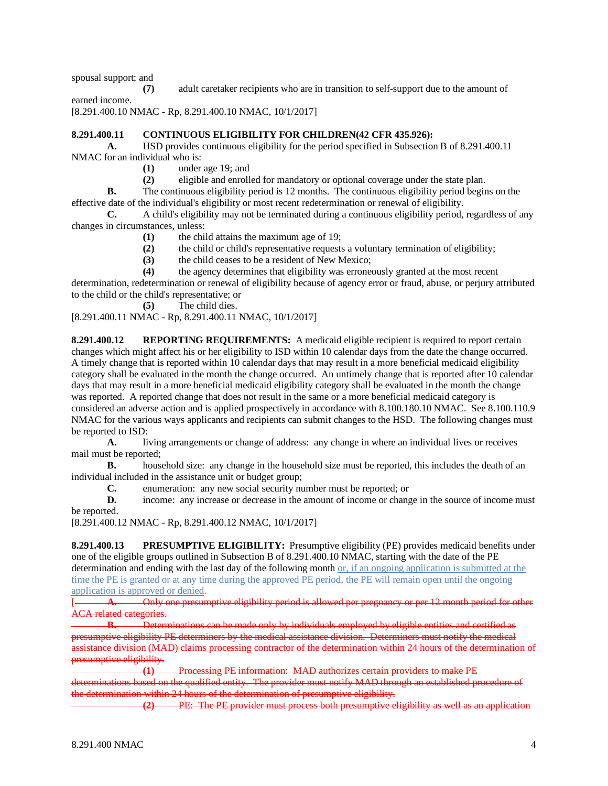spousal support; and

**(7)** adult caretaker recipients who are in transition to self-support due to the amount of earned income.

[8.291.400.10 NMAC - Rp, 8.291.400.10 NMAC, 10/1/2017]

## **8.291.400.11 CONTINUOUS ELIGIBILITY FOR CHILDREN(42 CFR 435.926):**

**A.** HSD provides continuous eligibility for the period specified in Subsection B of 8.291.400.11 NMAC for an individual who is:

**(1)** under age 19; and

**(2)** eligible and enrolled for mandatory or optional coverage under the state plan.

**B.** The continuous eligibility period is 12 months. The continuous eligibility period begins on the effective date of the individual's eligibility or most recent redetermination or renewal of eligibility.

**C.** A child's eligibility may not be terminated during a continuous eligibility period, regardless of any changes in circumstances, unless:

- **(1)** the child attains the maximum age of 19;
- **(2)** the child or child's representative requests a voluntary termination of eligibility;
- **(3)** the child ceases to be a resident of New Mexico;
- **(4)** the agency determines that eligibility was erroneously granted at the most recent

determination, redetermination or renewal of eligibility because of agency error or fraud, abuse, or perjury attributed to the child or the child's representative; or

**(5)** The child dies.

[8.291.400.11 NMAC - Rp, 8.291.400.11 NMAC, 10/1/2017]

**8.291.400.12 REPORTING REQUIREMENTS:** A medicaid eligible recipient is required to report certain changes which might affect his or her eligibility to ISD within 10 calendar days from the date the change occurred. A timely change that is reported within 10 calendar days that may result in a more beneficial medicaid eligibility category shall be evaluated in the month the change occurred. An untimely change that is reported after 10 calendar days that may result in a more beneficial medicaid eligibility category shall be evaluated in the month the change was reported. A reported change that does not result in the same or a more beneficial medicaid category is considered an adverse action and is applied prospectively in accordance with 8.100.180.10 NMAC. See 8.100.110.9 NMAC for the various ways applicants and recipients can submit changes to the HSD. The following changes must be reported to ISD:

**A.** living arrangements or change of address: any change in where an individual lives or receives mail must be reported;<br>**B.** house

**B.** household size: any change in the household size must be reported, this includes the death of an individual included in the assistance unit or budget group;

**C.** enumeration: any new social security number must be reported; or

**D.** income: any increase or decrease in the amount of income or change in the source of income must be reported.

[8.291.400.12 NMAC - Rp, 8.291.400.12 NMAC, 10/1/2017]

**8.291.400.13 PRESUMPTIVE ELIGIBILITY:** Presumptive eligibility (PE) provides medicaid benefits under one of the eligible groups outlined in Subsection B of 8.291.400.10 NMAC, starting with the date of the PE determination and ending with the last day of the following month or, if an ongoing application is submitted at the time the PE is granted or at any time during the approved PE period, the PE will remain open until the ongoing application is approved or denied.

A. Only one presumptive eligibility period is allowed per pregnancy or per 12 month period for other ACA related categories.

**B.** Determinations can be made only by individuals employed by eligible entities and certified as presumptive eligibility PE determiners by the medical assistance division. Determiners must notify the medical assistance division (MAD) claims processing contractor of the determination within 24 hours of the determination of presumptive eligibility.

**(1)** Processing PE information: MAD authorizes certain providers to make PE determinations based on the qualified entity. The provider must notify MAD through an established procedure of the determination within 24 hours of the determination of presumptive eligibility.

**(2)** PE: The PE provider must process both presumptive eligibility as well as an application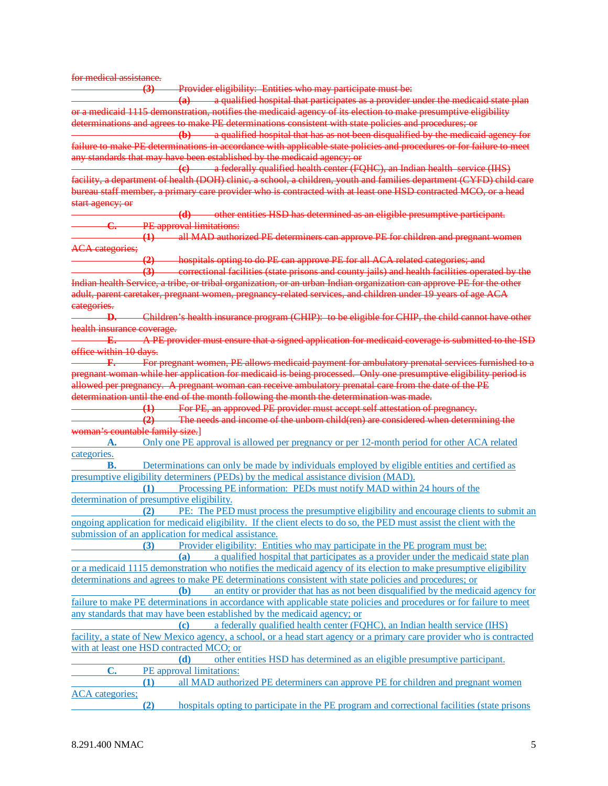for medical assistance.

**(3)** Provider eligibility: Entities who may participate must be: **(a)** a qualified hospital that participates as a provider under the medicaid state plan or a medicaid 1115 demonstration, notifies the medicaid agency of its election to make presumptive eligibility determinations and agrees to make PE determinations consistent with state policies and procedures; or **(b)** a qualified hospital that has as not been disqualified by the medicaid agency for failure to make PE determinations in accordance with applicable state policies and procedures or for failure to meet any standards that may have been established by the medicaid agency; or **(c)** a federally qualified health center (FQHC), an Indian health service (IHS) facility, a department of health (DOH) clinic, a school, a children, youth and families department (CYFD) child care bureau staff member, a primary care provider who is contracted with at least one HSD contracted MCO, or a head start agency; or **(d)** other entities HSD has determined as an eligible presumptive participant. **C.** PE approval limitations: **(1)** all MAD authorized PE determiners can approve PE for children and pregnant women ACA categories; hospitals opting to do PE can approve PE for all ACA related categories; and **(3)** correctional facilities (state prisons and county jails) and health facilities operated by the Indian health Service, a tribe, or tribal organization, or an urban Indian organization can approve PE for the other adult, parent caretaker, pregnant women, pregnancy-related services, and children under 19 years of age ACA categories. **D.** Children's health insurance program (CHIP): to be eligible for CHIP, the child cannot have other health insurance coverage. **E.** A PE provider must ensure that a signed application for medicaid coverage is submitted to the ISD office within 10 days. **F.** For pregnant women, PE allows medicaid payment for ambulatory prenatal services furnished to a pregnant woman while her application for medicaid is being processed. Only one presumptive eligibility period is allowed per pregnancy. A pregnant woman can receive ambulatory prenatal care from the date of the PE determination until the end of the month following the month the determination was made. **(1)** For PE, an approved PE provider must accept self attestation of pregnancy. **(2)** The needs and income of the unborn child(ren) are considered when determining the woman's countable family size.] **A.** Only one PE approval is allowed per pregnancy or per 12-month period for other ACA related categories. **B.** Determinations can only be made by individuals employed by eligible entities and certified as presumptive eligibility determiners (PEDs) by the medical assistance division (MAD). **(1)** Processing PE information: PEDs must notify MAD within 24 hours of the determination of presumptive eligibility. **(2)** PE: The PED must process the presumptive eligibility and encourage clients to submit an ongoing application for medicaid eligibility. If the client elects to do so, the PED must assist the client with the submission of an application for medical assistance. **(3)** Provider eligibility: Entities who may participate in the PE program must be: **(a)** a qualified hospital that participates as a provider under the medicaid state plan or a medicaid 1115 demonstration who notifies the medicaid agency of its election to make presumptive eligibility determinations and agrees to make PE determinations consistent with state policies and procedures; or **(b)** an entity or provider that has as not been disqualified by the medicaid agency for failure to make PE determinations in accordance with applicable state policies and procedures or for failure to meet any standards that may have been established by the medicaid agency; or **(c)** a federally qualified health center (FQHC), an Indian health service (IHS) facility, a state of New Mexico agency, a school, or a head start agency or a primary care provider who is contracted with at least one HSD contracted MCO; or **(d)** other entities HSD has determined as an eligible presumptive participant. **C.** PE approval limitations: **(1)** all MAD authorized PE determiners can approve PE for children and pregnant women ACA categories; **(2)** hospitals opting to participate in the PE program and correctional facilities (state prisons